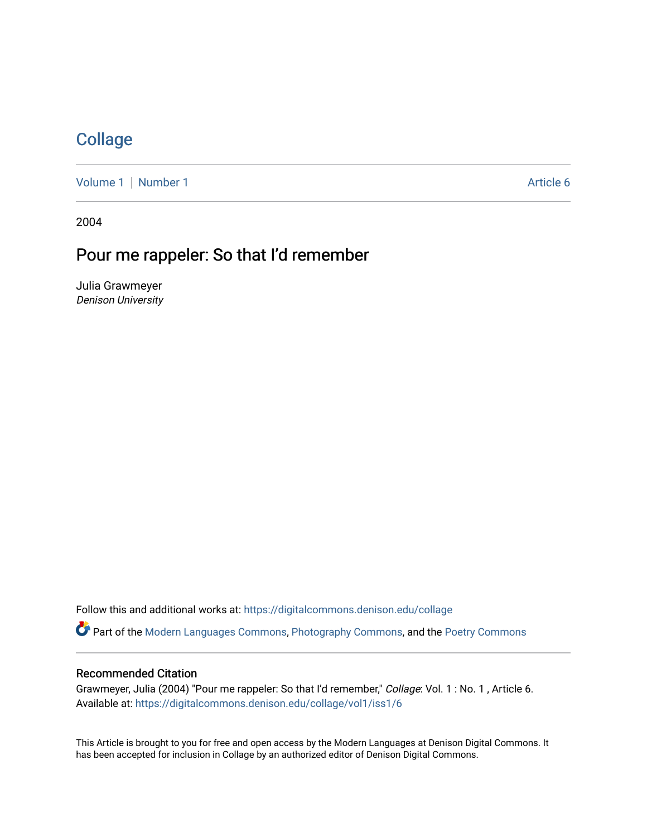## **[Collage](https://digitalcommons.denison.edu/collage)**

[Volume 1](https://digitalcommons.denison.edu/collage/vol1) | [Number 1](https://digitalcommons.denison.edu/collage/vol1/iss1) Article 6

2004

## Pour me rappeler: So that I'd remember

Julia Grawmeyer Denison University

Follow this and additional works at: [https://digitalcommons.denison.edu/collage](https://digitalcommons.denison.edu/collage?utm_source=digitalcommons.denison.edu%2Fcollage%2Fvol1%2Fiss1%2F6&utm_medium=PDF&utm_campaign=PDFCoverPages)  Part of the [Modern Languages Commons,](http://network.bepress.com/hgg/discipline/1130?utm_source=digitalcommons.denison.edu%2Fcollage%2Fvol1%2Fiss1%2F6&utm_medium=PDF&utm_campaign=PDFCoverPages) [Photography Commons](http://network.bepress.com/hgg/discipline/1142?utm_source=digitalcommons.denison.edu%2Fcollage%2Fvol1%2Fiss1%2F6&utm_medium=PDF&utm_campaign=PDFCoverPages), and the [Poetry Commons](http://network.bepress.com/hgg/discipline/1153?utm_source=digitalcommons.denison.edu%2Fcollage%2Fvol1%2Fiss1%2F6&utm_medium=PDF&utm_campaign=PDFCoverPages)

## Recommended Citation

Grawmeyer, Julia (2004) "Pour me rappeler: So that I'd remember," Collage: Vol. 1 : No. 1 , Article 6. Available at: [https://digitalcommons.denison.edu/collage/vol1/iss1/6](https://digitalcommons.denison.edu/collage/vol1/iss1/6?utm_source=digitalcommons.denison.edu%2Fcollage%2Fvol1%2Fiss1%2F6&utm_medium=PDF&utm_campaign=PDFCoverPages) 

This Article is brought to you for free and open access by the Modern Languages at Denison Digital Commons. It has been accepted for inclusion in Collage by an authorized editor of Denison Digital Commons.